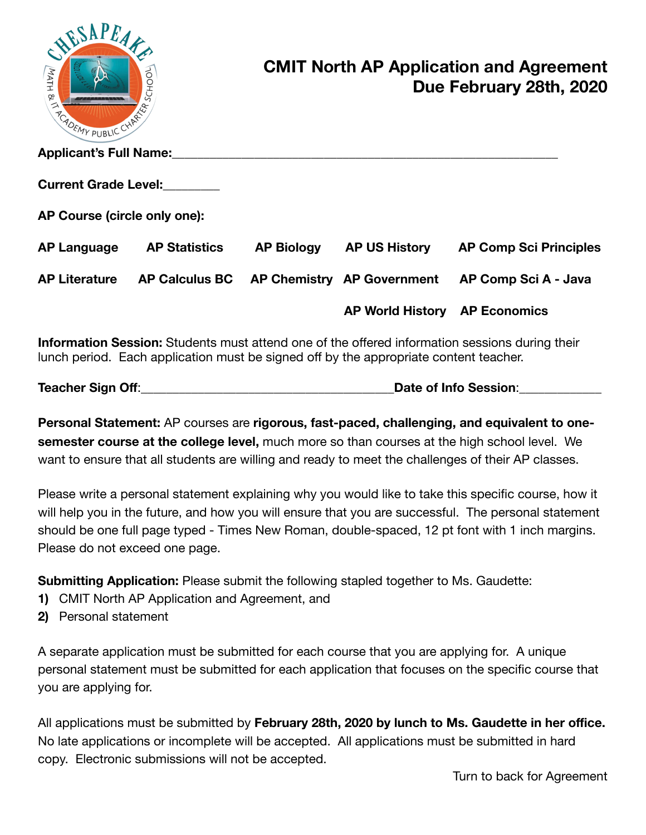| AESAPEA<br>MATH &<br><b>THE MANUBLIC C.</b> | SCHOOL                                    |                               | <b>CMIT North AP Application and Agreement</b><br>Due February 28th, 2020 |
|---------------------------------------------|-------------------------------------------|-------------------------------|---------------------------------------------------------------------------|
| <b>Applicant's Full Name:</b>               |                                           |                               |                                                                           |
| <b>Current Grade Level:</b>                 |                                           |                               |                                                                           |
| AP Course (circle only one):                |                                           |                               |                                                                           |
| <b>AP Language</b>                          | <b>AP Statistics</b>                      | AP Biology AP US History      | <b>AP Comp Sci Principles</b>                                             |
| <b>AP Literature</b>                        | AP Calculus BC AP Chemistry AP Government |                               | AP Comp Sci A - Java                                                      |
|                                             |                                           | AP World History AP Economics |                                                                           |
|                                             |                                           |                               |                                                                           |

**Information Session:** Students must attend one of the offered information sessions during their lunch period. Each application must be signed off by the appropriate content teacher.

| Teacher Sign Off: | Date of Info Session: |
|-------------------|-----------------------|
|-------------------|-----------------------|

**Personal Statement:** AP courses are **rigorous, fast-paced, challenging, and equivalent to onesemester course at the college level,** much more so than courses at the high school level. We want to ensure that all students are willing and ready to meet the challenges of their AP classes.

Please write a personal statement explaining why you would like to take this specific course, how it will help you in the future, and how you will ensure that you are successful. The personal statement should be one full page typed - Times New Roman, double-spaced, 12 pt font with 1 inch margins. Please do not exceed one page.

**Submitting Application:** Please submit the following stapled together to Ms. Gaudette:

- **1)** CMIT North AP Application and Agreement, and
- **2)** Personal statement

A separate application must be submitted for each course that you are applying for. A unique personal statement must be submitted for each application that focuses on the specific course that you are applying for.

All applications must be submitted by **February 28th, 2020 by lunch to Ms. Gaudette in her office.**  No late applications or incomplete will be accepted. All applications must be submitted in hard copy. Electronic submissions will not be accepted.

Turn to back for Agreement